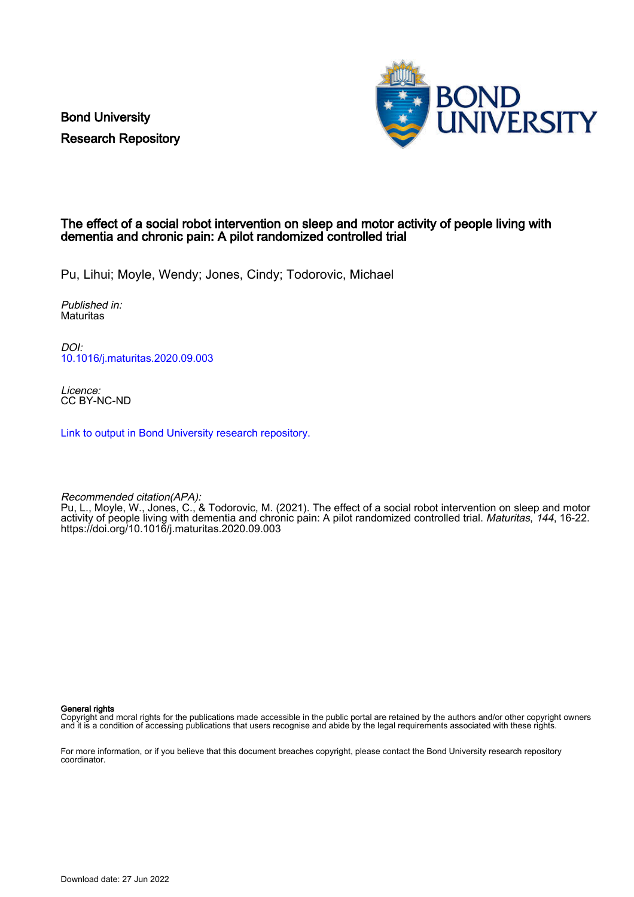Bond University Research Repository



## The effect of a social robot intervention on sleep and motor activity of people living with dementia and chronic pain: A pilot randomized controlled trial

Pu, Lihui; Moyle, Wendy; Jones, Cindy; Todorovic, Michael

Published in: **Maturitas** 

DOI: [10.1016/j.maturitas.2020.09.003](https://doi.org/10.1016/j.maturitas.2020.09.003)

Licence: CC BY-NC-ND

[Link to output in Bond University research repository.](https://research.bond.edu.au/en/publications/3de00d88-eb6b-49c0-a903-603ecad804e3)

Recommended citation(APA): Pu, L., Moyle, W., Jones, C., & Todorovic, M. (2021). The effect of a social robot intervention on sleep and motor activity of people living with dementia and chronic pain: A pilot randomized controlled trial. *Maturitas*, 144, 16-22. <https://doi.org/10.1016/j.maturitas.2020.09.003>

General rights

Copyright and moral rights for the publications made accessible in the public portal are retained by the authors and/or other copyright owners and it is a condition of accessing publications that users recognise and abide by the legal requirements associated with these rights.

For more information, or if you believe that this document breaches copyright, please contact the Bond University research repository coordinator.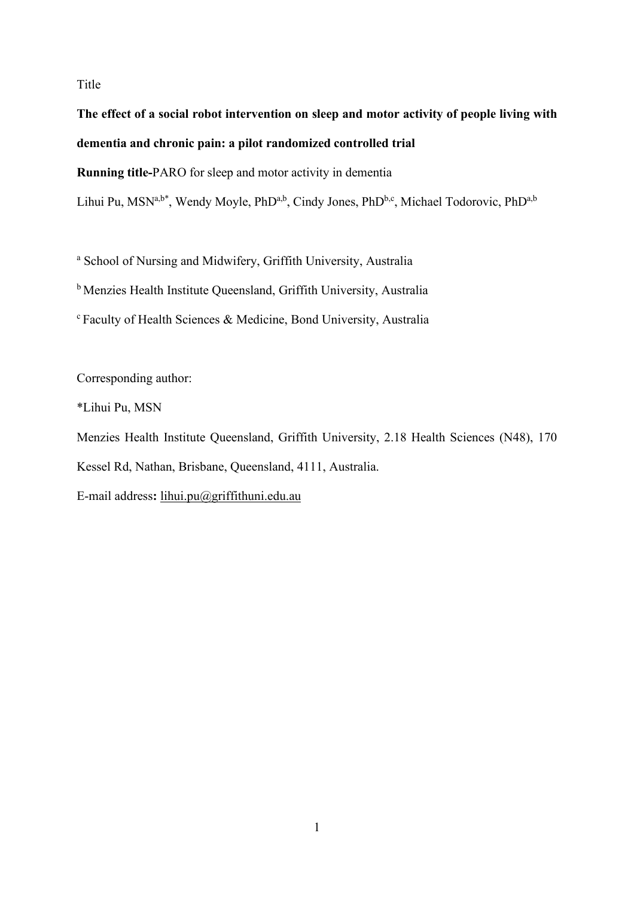## Title

**The effect of a social robot intervention on sleep and motor activity of people living with dementia and chronic pain: a pilot randomized controlled trial Running title-**PARO for sleep and motor activity in dementia

Lihui Pu, MSN<sup>a,b\*</sup>, Wendy Moyle, PhD<sup>a,b</sup>, Cindy Jones, PhD<sup>b,c</sup>, Michael Todorovic, PhD<sup>a,b</sup>

<sup>a</sup> School of Nursing and Midwifery, Griffith University, Australia

<sup>b</sup> Menzies Health Institute Queensland, Griffith University, Australia

<sup>c</sup> Faculty of Health Sciences & Medicine, Bond University, Australia

Corresponding author:

\*Lihui Pu, MSN

Menzies Health Institute Queensland, Griffith University, 2.18 Health Sciences (N48), 170

Kessel Rd, Nathan, Brisbane, Queensland, 4111, Australia.

E-mail address**:** [lihui.pu@griffithuni.edu.au](mailto:lihui.pu@griffithuni.edu.au)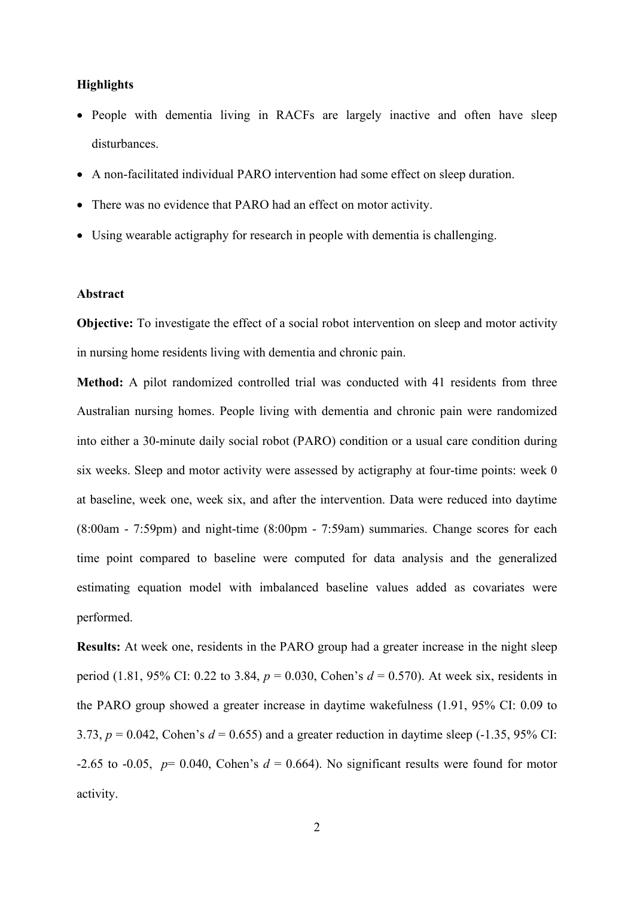## **Highlights**

- People with dementia living in RACFs are largely inactive and often have sleep disturbances.
- A non-facilitated individual PARO intervention had some effect on sleep duration.
- There was no evidence that PARO had an effect on motor activity.
- Using wearable actigraphy for research in people with dementia is challenging.

#### **Abstract**

**Objective:** To investigate the effect of a social robot intervention on sleep and motor activity in nursing home residents living with dementia and chronic pain.

**Method:** A pilot randomized controlled trial was conducted with 41 residents from three Australian nursing homes. People living with dementia and chronic pain were randomized into either a 30-minute daily social robot (PARO) condition or a usual care condition during six weeks. Sleep and motor activity were assessed by actigraphy at four-time points: week 0 at baseline, week one, week six, and after the intervention. Data were reduced into daytime (8:00am - 7:59pm) and night-time (8:00pm - 7:59am) summaries. Change scores for each time point compared to baseline were computed for data analysis and the generalized estimating equation model with imbalanced baseline values added as covariates were performed.

**Results:** At week one, residents in the PARO group had a greater increase in the night sleep period (1.81, 95% CI: 0.22 to 3.84, *p* = 0.030, Cohen's *d* = 0.570). At week six, residents in the PARO group showed a greater increase in daytime wakefulness (1.91, 95% CI: 0.09 to 3.73,  $p = 0.042$ , Cohen's  $d = 0.655$ ) and a greater reduction in daytime sleep  $(-1.35, 95\%$  CI: -2.65 to -0.05,  $p= 0.040$ , Cohen's  $d= 0.664$ ). No significant results were found for motor activity.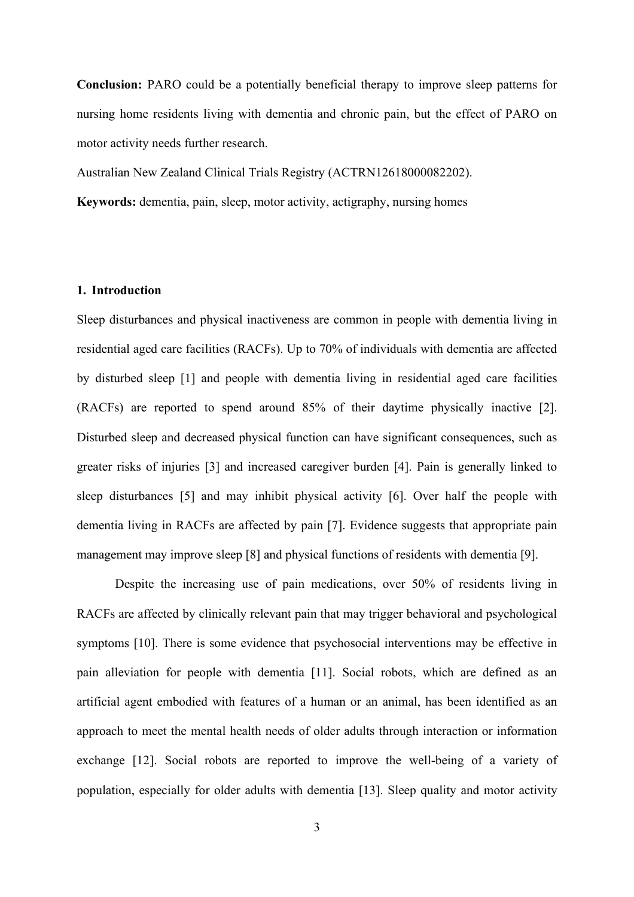**Conclusion:** PARO could be a potentially beneficial therapy to improve sleep patterns for nursing home residents living with dementia and chronic pain, but the effect of PARO on motor activity needs further research.

Australian New Zealand Clinical Trials Registry (ACTRN12618000082202).

**Keywords:** dementia, pain, sleep, motor activity, actigraphy, nursing homes

#### **1. Introduction**

Sleep disturbances and physical inactiveness are common in people with dementia living in residential aged care facilities (RACFs). Up to 70% of individuals with dementia are affected by disturbed sleep [1] and people with dementia living in residential aged care facilities (RACFs) are reported to spend around 85% of their daytime physically inactive [2]. Disturbed sleep and decreased physical function can have significant consequences, such as greater risks of injuries [3] and increased caregiver burden [4]. Pain is generally linked to sleep disturbances [5] and may inhibit physical activity [6]. Over half the people with dementia living in RACFs are affected by pain [7]. Evidence suggests that appropriate pain management may improve sleep [8] and physical functions of residents with dementia [9].

Despite the increasing use of pain medications, over 50% of residents living in RACFs are affected by clinically relevant pain that may trigger behavioral and psychological symptoms [10]. There is some evidence that psychosocial interventions may be effective in pain alleviation for people with dementia [11]. Social robots, which are defined as an artificial agent embodied with features of a human or an animal, has been identified as an approach to meet the mental health needs of older adults through interaction or information exchange [12]. Social robots are reported to improve the well-being of a variety of population, especially for older adults with dementia [13]. Sleep quality and motor activity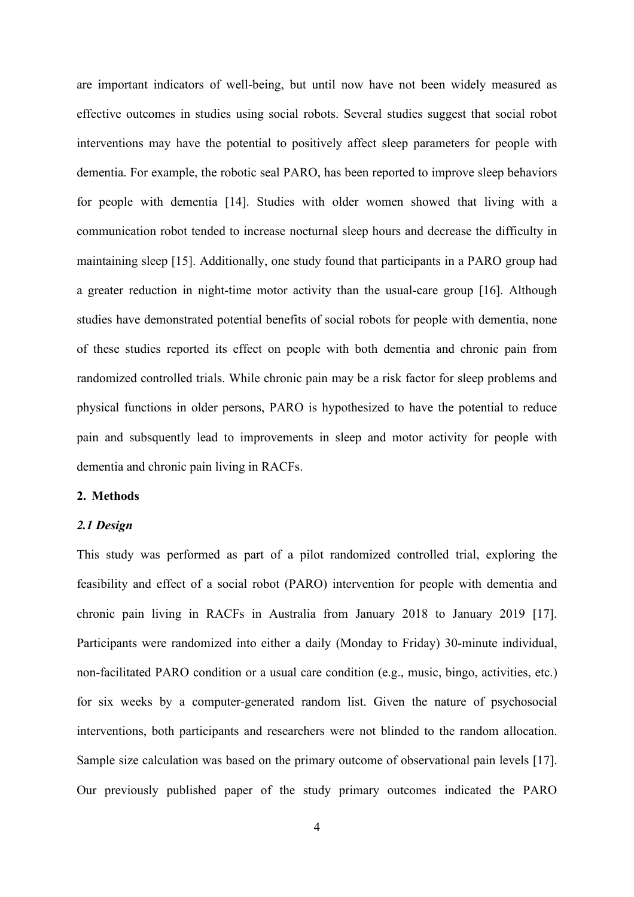are important indicators of well-being, but until now have not been widely measured as effective outcomes in studies using social robots. Several studies suggest that social robot interventions may have the potential to positively affect sleep parameters for people with dementia. For example, the robotic seal PARO, has been reported to improve sleep behaviors for people with dementia [14]. Studies with older women showed that living with a communication robot tended to increase nocturnal sleep hours and decrease the difficulty in maintaining sleep [15]. Additionally, one study found that participants in a PARO group had a greater reduction in night-time motor activity than the usual-care group [16]. Although studies have demonstrated potential benefits of social robots for people with dementia, none of these studies reported its effect on people with both dementia and chronic pain from randomized controlled trials. While chronic pain may be a risk factor for sleep problems and physical functions in older persons, PARO is hypothesized to have the potential to reduce pain and subsquently lead to improvements in sleep and motor activity for people with dementia and chronic pain living in RACFs.

## **2. Methods**

#### *2.1 Design*

This study was performed as part of a pilot randomized controlled trial, exploring the feasibility and effect of a social robot (PARO) intervention for people with dementia and chronic pain living in RACFs in Australia from January 2018 to January 2019 [17]. Participants were randomized into either a daily (Monday to Friday) 30-minute individual, non-facilitated PARO condition or a usual care condition (e.g., music, bingo, activities, etc.) for six weeks by a computer-generated random list. Given the nature of psychosocial interventions, both participants and researchers were not blinded to the random allocation. Sample size calculation was based on the primary outcome of observational pain levels [17]. Our previously published paper of the study primary outcomes indicated the PARO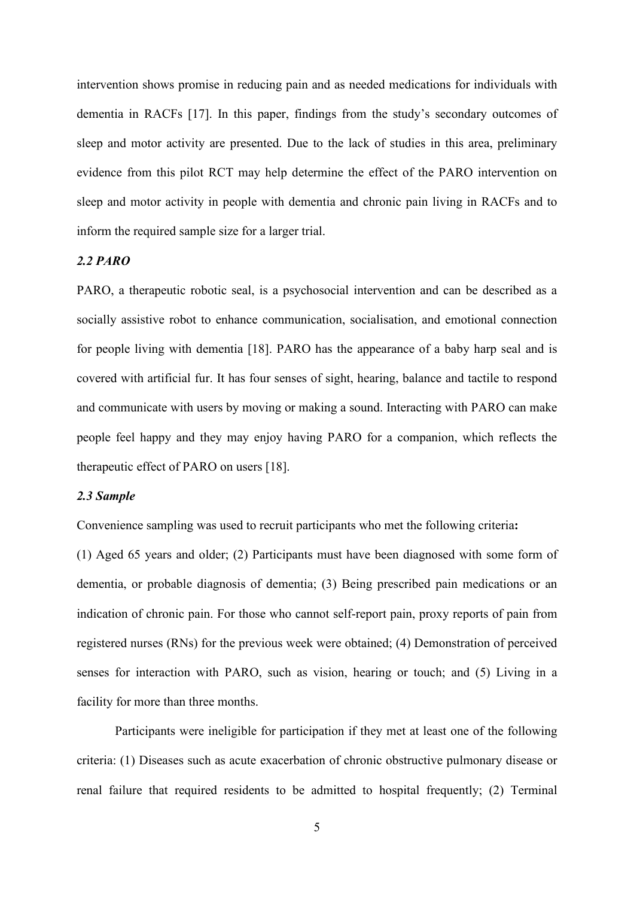intervention shows promise in reducing pain and as needed medications for individuals with dementia in RACFs [17]. In this paper, findings from the study's secondary outcomes of sleep and motor activity are presented. Due to the lack of studies in this area, preliminary evidence from this pilot RCT may help determine the effect of the PARO intervention on sleep and motor activity in people with dementia and chronic pain living in RACFs and to inform the required sample size for a larger trial.

#### *2.2 PARO*

PARO, a therapeutic robotic seal, is a psychosocial intervention and can be described as a socially assistive robot to enhance communication, socialisation, and emotional connection for people living with dementia [18]. PARO has the appearance of a baby harp seal and is covered with artificial fur. It has four senses of sight, hearing, balance and tactile to respond and communicate with users by moving or making a sound. Interacting with PARO can make people feel happy and they may enjoy having PARO for a companion, which reflects the therapeutic effect of PARO on users [18].

#### *2.3 Sample*

Convenience sampling was used to recruit participants who met the following criteria**:**

(1) Aged 65 years and older; (2) Participants must have been diagnosed with some form of dementia, or probable diagnosis of dementia; (3) Being prescribed pain medications or an indication of chronic pain. For those who cannot self-report pain, proxy reports of pain from registered nurses (RNs) for the previous week were obtained; (4) Demonstration of perceived senses for interaction with PARO, such as vision, hearing or touch; and (5) Living in a facility for more than three months.

Participants were ineligible for participation if they met at least one of the following criteria: (1) Diseases such as acute exacerbation of chronic obstructive pulmonary disease or renal failure that required residents to be admitted to hospital frequently; (2) Terminal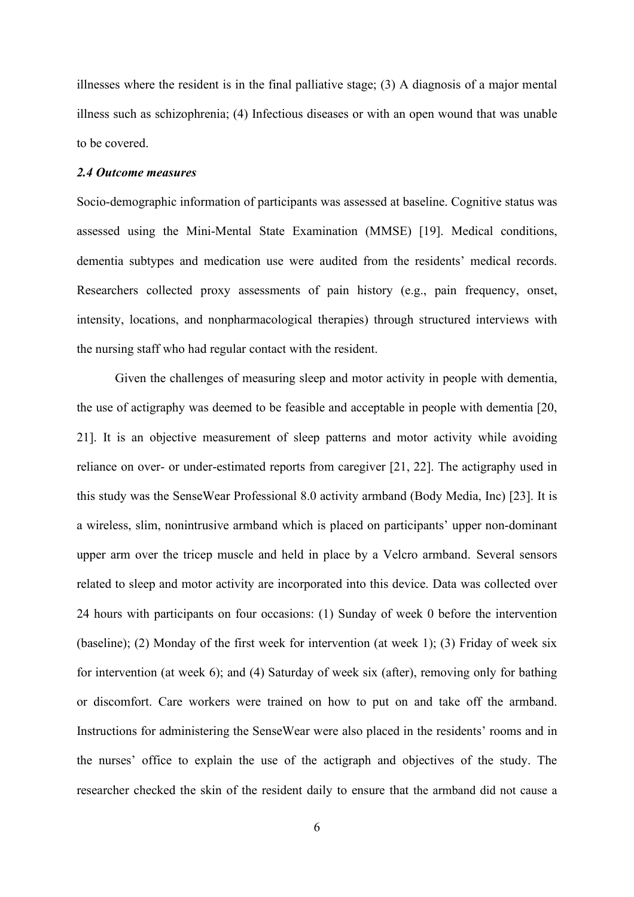illnesses where the resident is in the final palliative stage; (3) A diagnosis of a major mental illness such as schizophrenia; (4) Infectious diseases or with an open wound that was unable to be covered.

#### *2.4 Outcome measures*

Socio-demographic information of participants was assessed at baseline. Cognitive status was assessed using the Mini-Mental State Examination (MMSE) [19]. Medical conditions, dementia subtypes and medication use were audited from the residents' medical records. Researchers collected proxy assessments of pain history (e.g., pain frequency, onset, intensity, locations, and nonpharmacological therapies) through structured interviews with the nursing staff who had regular contact with the resident.

Given the challenges of measuring sleep and motor activity in people with dementia, the use of actigraphy was deemed to be feasible and acceptable in people with dementia [20, 21]. It is an objective measurement of sleep patterns and motor activity while avoiding reliance on over- or under-estimated reports from caregiver [21, 22]. The actigraphy used in this study was the SenseWear Professional 8.0 activity armband (Body Media, Inc) [23]. It is a wireless, slim, nonintrusive armband which is placed on participants' upper non-dominant upper arm over the tricep muscle and held in place by a Velcro armband. Several sensors related to sleep and motor activity are incorporated into this device. Data was collected over 24 hours with participants on four occasions: (1) Sunday of week 0 before the intervention (baseline); (2) Monday of the first week for intervention (at week 1); (3) Friday of week six for intervention (at week 6); and (4) Saturday of week six (after), removing only for bathing or discomfort. Care workers were trained on how to put on and take off the armband. Instructions for administering the SenseWear were also placed in the residents' rooms and in the nurses' office to explain the use of the actigraph and objectives of the study. The researcher checked the skin of the resident daily to ensure that the armband did not cause a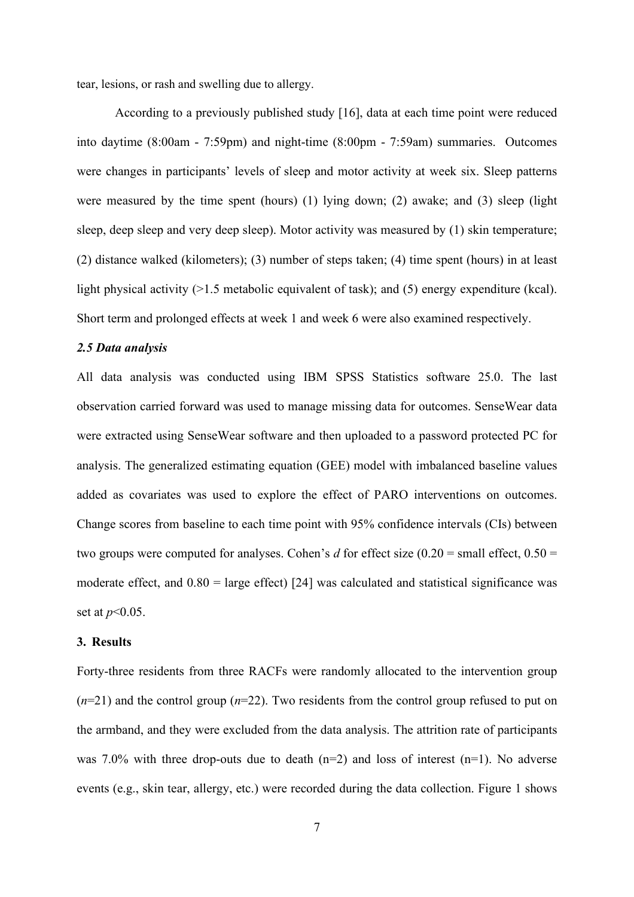tear, lesions, or rash and swelling due to allergy.

According to a previously published study [16], data at each time point were reduced into daytime (8:00am - 7:59pm) and night-time (8:00pm - 7:59am) summaries. Outcomes were changes in participants' levels of sleep and motor activity at week six. Sleep patterns were measured by the time spent (hours) (1) lying down; (2) awake; and (3) sleep (light sleep, deep sleep and very deep sleep). Motor activity was measured by (1) skin temperature; (2) distance walked (kilometers); (3) number of steps taken; (4) time spent (hours) in at least light physical activity (>1.5 metabolic equivalent of task); and (5) energy expenditure (kcal). Short term and prolonged effects at week 1 and week 6 were also examined respectively.

## *2.5 Data analysis*

All data analysis was conducted using IBM SPSS Statistics software 25.0. The last observation carried forward was used to manage missing data for outcomes. SenseWear data were extracted using SenseWear software and then uploaded to a password protected PC for analysis. The generalized estimating equation (GEE) model with imbalanced baseline values added as covariates was used to explore the effect of PARO interventions on outcomes. Change scores from baseline to each time point with 95% confidence intervals (CIs) between two groups were computed for analyses. Cohen's *d* for effect size  $(0.20 = \text{small effect}, 0.50 =$ moderate effect, and  $0.80$  = large effect) [24] was calculated and statistical significance was set at *p*<0.05.

#### **3. Results**

Forty-three residents from three RACFs were randomly allocated to the intervention group (*n*=21) and the control group (*n*=22). Two residents from the control group refused to put on the armband, and they were excluded from the data analysis. The attrition rate of participants was 7.0% with three drop-outs due to death  $(n=2)$  and loss of interest  $(n=1)$ . No adverse events (e.g., skin tear, allergy, etc.) were recorded during the data collection. Figure 1 shows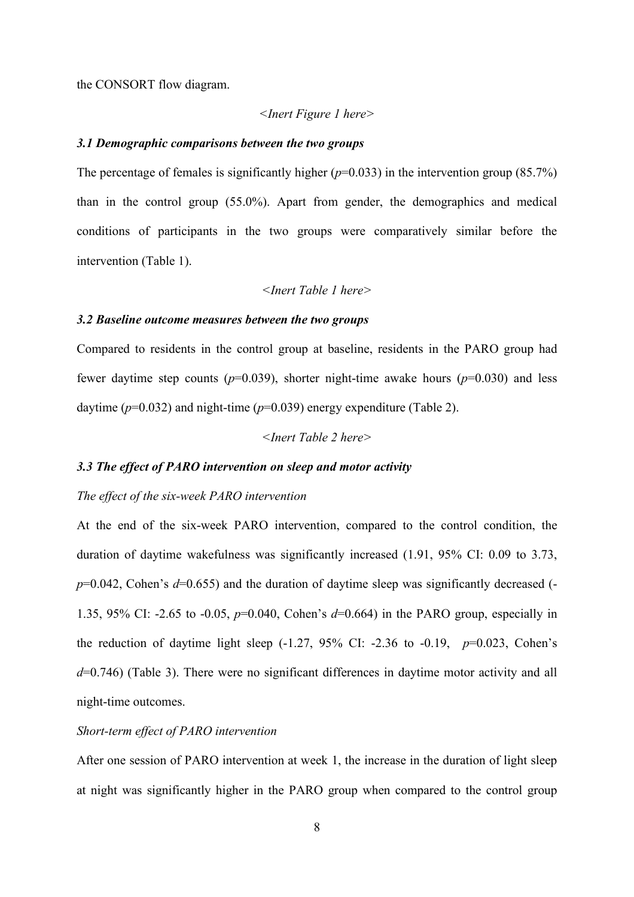the CONSORT flow diagram.

#### *<Inert Figure 1 here>*

#### *3.1 Demographic comparisons between the two groups*

The percentage of females is significantly higher  $(p=0.033)$  in the intervention group (85.7%) than in the control group (55.0%). Apart from gender, the demographics and medical conditions of participants in the two groups were comparatively similar before the intervention (Table 1).

*<Inert Table 1 here>*

#### *3.2 Baseline outcome measures between the two groups*

Compared to residents in the control group at baseline, residents in the PARO group had fewer daytime step counts ( $p=0.039$ ), shorter night-time awake hours ( $p=0.030$ ) and less daytime  $(p=0.032)$  and night-time  $(p=0.039)$  energy expenditure (Table 2).

*<Inert Table 2 here>*

#### *3.3 The effect of PARO intervention on sleep and motor activity*

## *The effect of the six-week PARO intervention*

At the end of the six-week PARO intervention, compared to the control condition, the duration of daytime wakefulness was significantly increased (1.91, 95% CI: 0.09 to 3.73, *p*=0.042, Cohen's *d*=0.655) and the duration of daytime sleep was significantly decreased (-1.35, 95% CI: -2.65 to -0.05, *p*=0.040, Cohen's *d*=0.664) in the PARO group, especially in the reduction of daytime light sleep  $(-1.27, 95\% \text{ CI: } -2.36 \text{ to } -0.19, p=0.023, \text{ Cohen's}$ *d*=0.746) (Table 3). There were no significant differences in daytime motor activity and all night-time outcomes.

## *Short-term effect of PARO intervention*

After one session of PARO intervention at week 1, the increase in the duration of light sleep at night was significantly higher in the PARO group when compared to the control group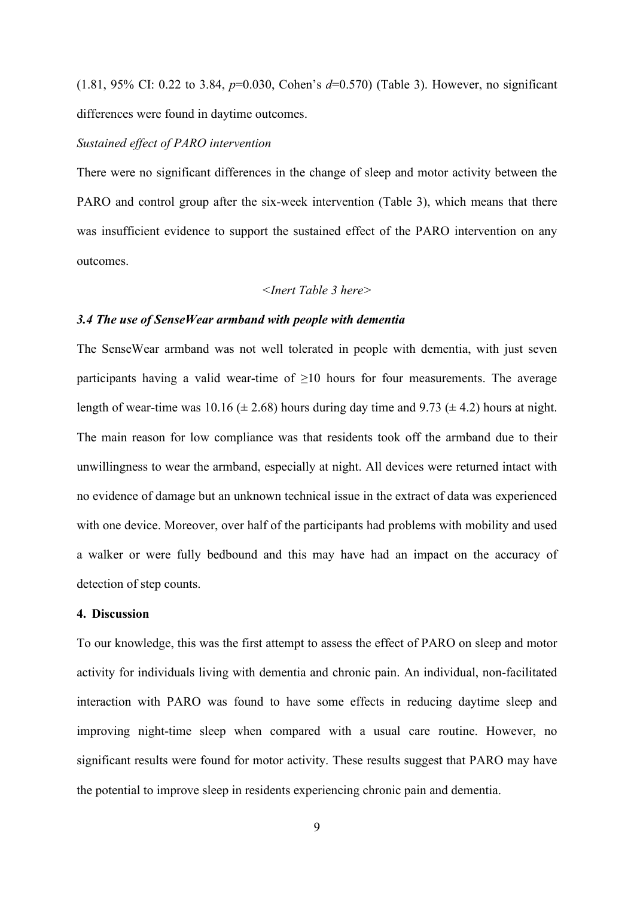(1.81, 95% CI: 0.22 to 3.84, *p*=0.030, Cohen's *d*=0.570) (Table 3). However, no significant differences were found in daytime outcomes.

#### *Sustained effect of PARO intervention*

There were no significant differences in the change of sleep and motor activity between the PARO and control group after the six-week intervention (Table 3), which means that there was insufficient evidence to support the sustained effect of the PARO intervention on any outcomes.

#### *<Inert Table 3 here>*

#### *3.4 The use of SenseWear armband with people with dementia*

The SenseWear armband was not well tolerated in people with dementia, with just seven participants having a valid wear-time of  $\geq 10$  hours for four measurements. The average length of wear-time was 10.16 ( $\pm$  2.68) hours during day time and 9.73 ( $\pm$  4.2) hours at night. The main reason for low compliance was that residents took off the armband due to their unwillingness to wear the armband, especially at night. All devices were returned intact with no evidence of damage but an unknown technical issue in the extract of data was experienced with one device. Moreover, over half of the participants had problems with mobility and used a walker or were fully bedbound and this may have had an impact on the accuracy of detection of step counts.

#### **4. Discussion**

To our knowledge, this was the first attempt to assess the effect of PARO on sleep and motor activity for individuals living with dementia and chronic pain. An individual, non-facilitated interaction with PARO was found to have some effects in reducing daytime sleep and improving night-time sleep when compared with a usual care routine. However, no significant results were found for motor activity. These results suggest that PARO may have the potential to improve sleep in residents experiencing chronic pain and dementia.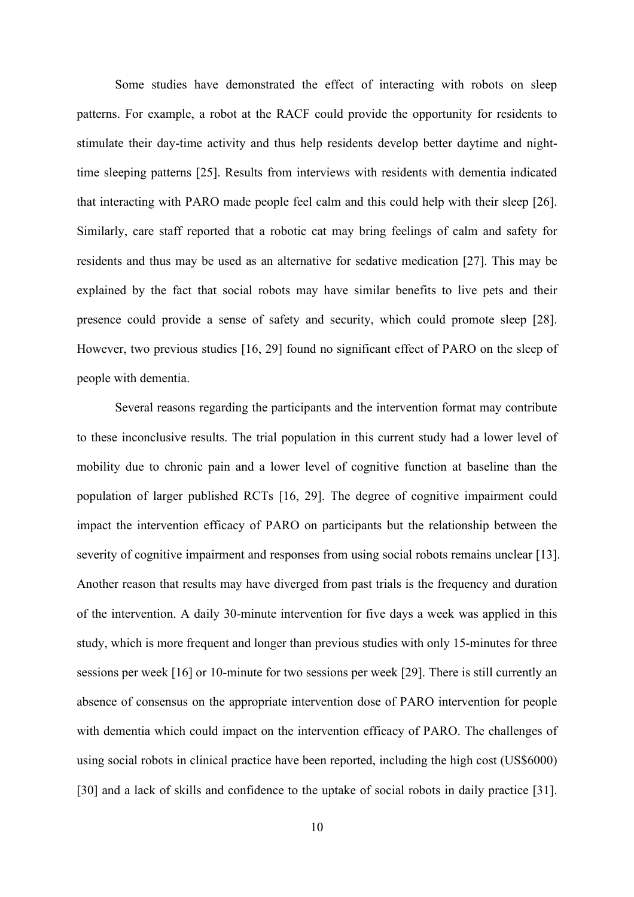Some studies have demonstrated the effect of interacting with robots on sleep patterns. For example, a robot at the RACF could provide the opportunity for residents to stimulate their day-time activity and thus help residents develop better daytime and nighttime sleeping patterns [25]. Results from interviews with residents with dementia indicated that interacting with PARO made people feel calm and this could help with their sleep [26]. Similarly, care staff reported that a robotic cat may bring feelings of calm and safety for residents and thus may be used as an alternative for sedative medication [27]. This may be explained by the fact that social robots may have similar benefits to live pets and their presence could provide a sense of safety and security, which could promote sleep [28]. However, two previous studies [16, 29] found no significant effect of PARO on the sleep of people with dementia.

Several reasons regarding the participants and the intervention format may contribute to these inconclusive results. The trial population in this current study had a lower level of mobility due to chronic pain and a lower level of cognitive function at baseline than the population of larger published RCTs [16, 29]. The degree of cognitive impairment could impact the intervention efficacy of PARO on participants but the relationship between the severity of cognitive impairment and responses from using social robots remains unclear [13]. Another reason that results may have diverged from past trials is the frequency and duration of the intervention. A daily 30-minute intervention for five days a week was applied in this study, which is more frequent and longer than previous studies with only 15-minutes for three sessions per week [16] or 10-minute for two sessions per week [29]. There is still currently an absence of consensus on the appropriate intervention dose of PARO intervention for people with dementia which could impact on the intervention efficacy of PARO. The challenges of using social robots in clinical practice have been reported, including the high cost (US\$6000) [30] and a lack of skills and confidence to the uptake of social robots in daily practice [31].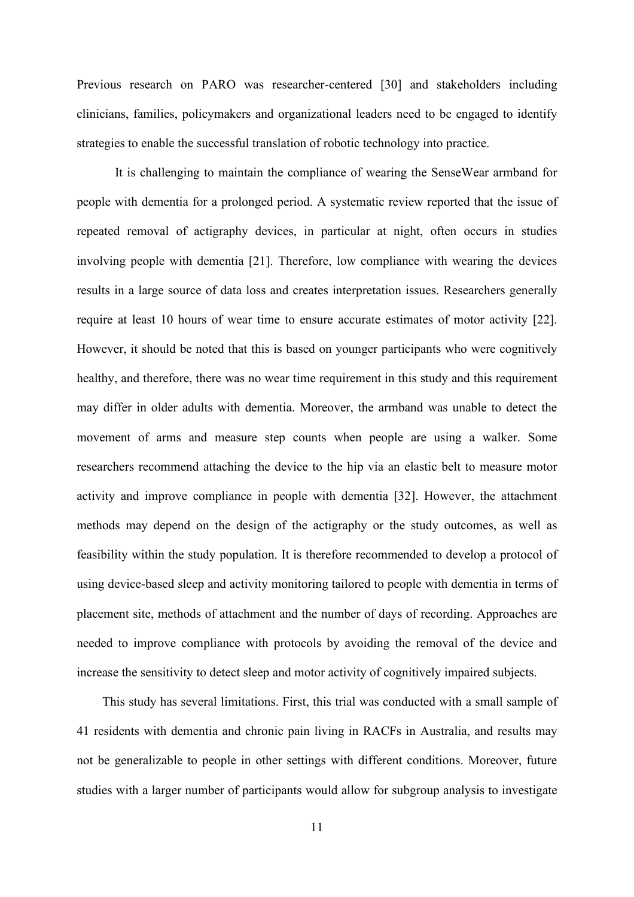Previous research on PARO was researcher-centered [30] and stakeholders including clinicians, families, policymakers and organizational leaders need to be engaged to identify strategies to enable the successful translation of robotic technology into practice.

It is challenging to maintain the compliance of wearing the SenseWear armband for people with dementia for a prolonged period. A systematic review reported that the issue of repeated removal of actigraphy devices, in particular at night, often occurs in studies involving people with dementia [21]. Therefore, low compliance with wearing the devices results in a large source of data loss and creates interpretation issues. Researchers generally require at least 10 hours of wear time to ensure accurate estimates of motor activity [22]. However, it should be noted that this is based on younger participants who were cognitively healthy, and therefore, there was no wear time requirement in this study and this requirement may differ in older adults with dementia. Moreover, the armband was unable to detect the movement of arms and measure step counts when people are using a walker. Some researchers recommend attaching the device to the hip via an elastic belt to measure motor activity and improve compliance in people with dementia [32]. However, the attachment methods may depend on the design of the actigraphy or the study outcomes, as well as feasibility within the study population. It is therefore recommended to develop a protocol of using device-based sleep and activity monitoring tailored to people with dementia in terms of placement site, methods of attachment and the number of days of recording. Approaches are needed to improve compliance with protocols by avoiding the removal of the device and increase the sensitivity to detect sleep and motor activity of cognitively impaired subjects.

This study has several limitations. First, this trial was conducted with a small sample of 41 residents with dementia and chronic pain living in RACFs in Australia, and results may not be generalizable to people in other settings with different conditions. Moreover, future studies with a larger number of participants would allow for subgroup analysis to investigate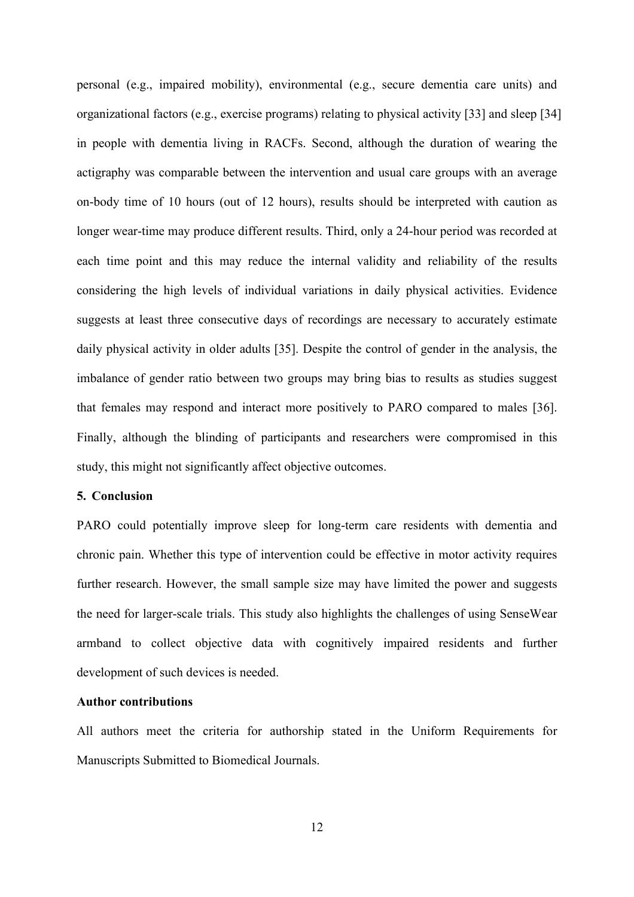personal (e.g., impaired mobility), environmental (e.g., secure dementia care units) and organizational factors (e.g., exercise programs) relating to physical activity [33] and sleep [34] in people with dementia living in RACFs. Second, although the duration of wearing the actigraphy was comparable between the intervention and usual care groups with an average on-body time of 10 hours (out of 12 hours), results should be interpreted with caution as longer wear-time may produce different results. Third, only a 24-hour period was recorded at each time point and this may reduce the internal validity and reliability of the results considering the high levels of individual variations in daily physical activities. Evidence suggests at least three consecutive days of recordings are necessary to accurately estimate daily physical activity in older adults [35]. Despite the control of gender in the analysis, the imbalance of gender ratio between two groups may bring bias to results as studies suggest that females may respond and interact more positively to PARO compared to males [36]. Finally, although the blinding of participants and researchers were compromised in this study, this might not significantly affect objective outcomes.

#### **5. Conclusion**

PARO could potentially improve sleep for long-term care residents with dementia and chronic pain. Whether this type of intervention could be effective in motor activity requires further research. However, the small sample size may have limited the power and suggests the need for larger-scale trials. This study also highlights the challenges of using SenseWear armband to collect objective data with cognitively impaired residents and further development of such devices is needed.

### **Author contributions**

All authors meet the criteria for authorship stated in the Uniform Requirements for Manuscripts Submitted to Biomedical Journals.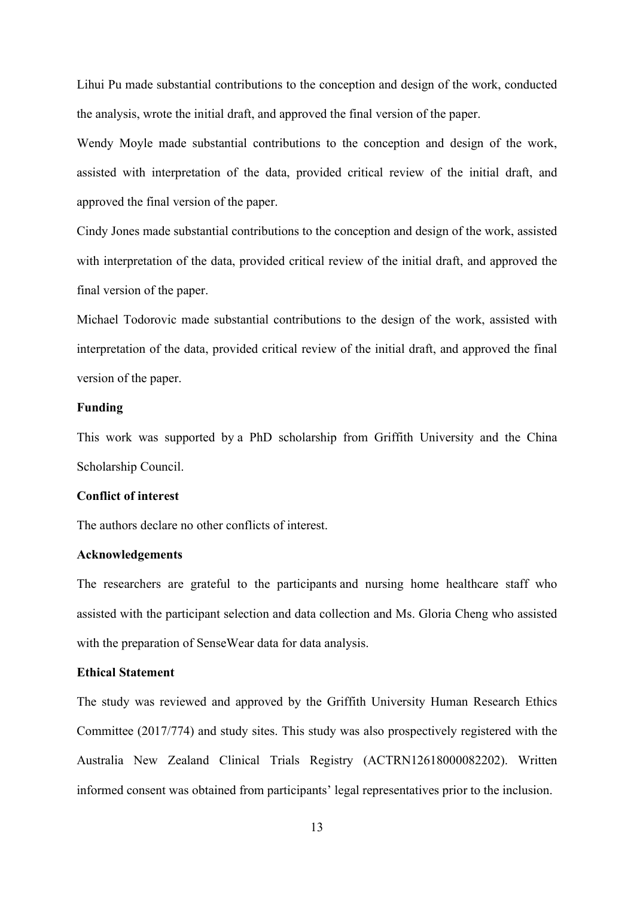Lihui Pu made substantial contributions to the conception and design of the work, conducted the analysis, wrote the initial draft, and approved the final version of the paper.

Wendy Moyle made substantial contributions to the conception and design of the work, assisted with interpretation of the data, provided critical review of the initial draft, and approved the final version of the paper.

Cindy Jones made substantial contributions to the conception and design of the work, assisted with interpretation of the data, provided critical review of the initial draft, and approved the final version of the paper.

Michael Todorovic made substantial contributions to the design of the work, assisted with interpretation of the data, provided critical review of the initial draft, and approved the final version of the paper.

## **Funding**

This work was supported by a PhD scholarship from Griffith University and the China Scholarship Council.

#### **Conflict of interest**

The authors declare no other conflicts of interest.

#### **Acknowledgements**

The researchers are grateful to the participants and nursing home healthcare staff who assisted with the participant selection and data collection and Ms. Gloria Cheng who assisted with the preparation of SenseWear data for data analysis.

## **Ethical Statement**

The study was reviewed and approved by the Griffith University Human Research Ethics Committee (2017/774) and study sites. This study was also prospectively registered with the Australia New Zealand Clinical Trials Registry (ACTRN12618000082202). Written informed consent was obtained from participants' legal representatives prior to the inclusion.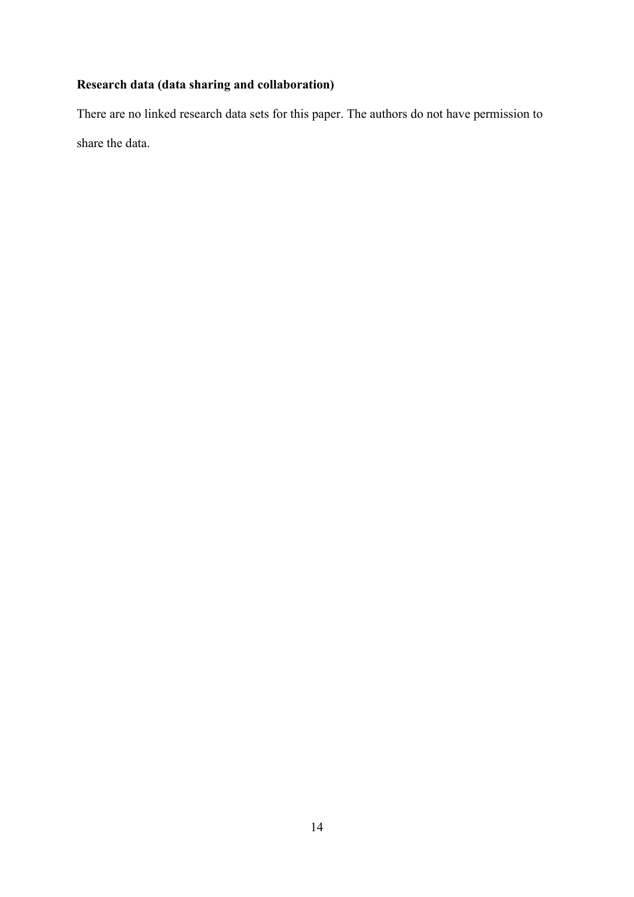## **Research data (data sharing and collaboration)**

There are no linked research data sets for this paper. The authors do not have permission to share the data.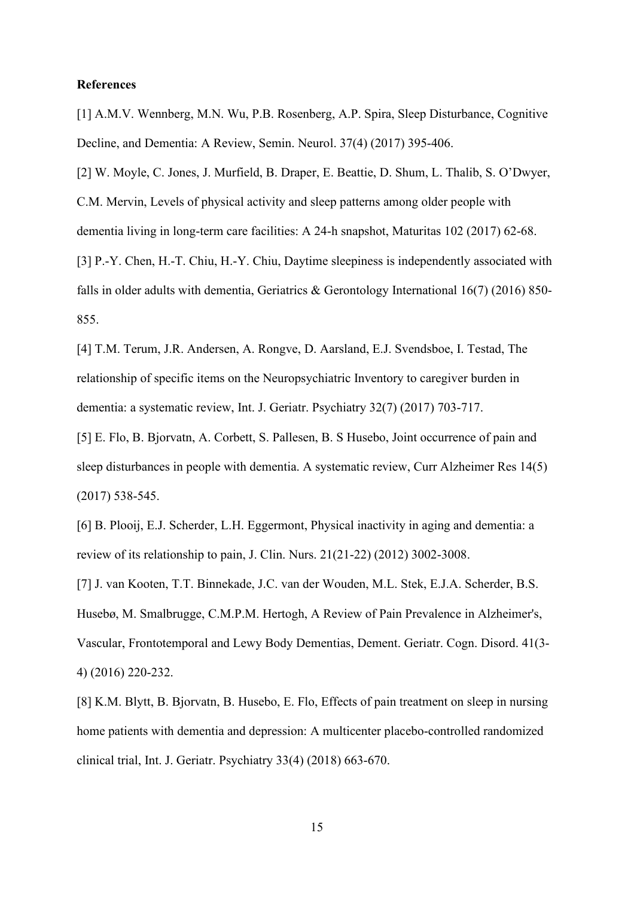#### **References**

[1] A.M.V. Wennberg, M.N. Wu, P.B. Rosenberg, A.P. Spira, Sleep Disturbance, Cognitive Decline, and Dementia: A Review, Semin. Neurol. 37(4) (2017) 395-406.

[2] W. Moyle, C. Jones, J. Murfield, B. Draper, E. Beattie, D. Shum, L. Thalib, S. O'Dwyer, C.M. Mervin, Levels of physical activity and sleep patterns among older people with dementia living in long-term care facilities: A 24-h snapshot, Maturitas 102 (2017) 62-68. [3] P.-Y. Chen, H.-T. Chiu, H.-Y. Chiu, Daytime sleepiness is independently associated with falls in older adults with dementia, Geriatrics & Gerontology International 16(7) (2016) 850- 855.

[4] T.M. Terum, J.R. Andersen, A. Rongve, D. Aarsland, E.J. Svendsboe, I. Testad, The relationship of specific items on the Neuropsychiatric Inventory to caregiver burden in dementia: a systematic review, Int. J. Geriatr. Psychiatry 32(7) (2017) 703-717.

[5] E. Flo, B. Bjorvatn, A. Corbett, S. Pallesen, B. S Husebo, Joint occurrence of pain and sleep disturbances in people with dementia. A systematic review, Curr Alzheimer Res 14(5) (2017) 538-545.

[6] B. Plooij, E.J. Scherder, L.H. Eggermont, Physical inactivity in aging and dementia: a review of its relationship to pain, J. Clin. Nurs. 21(21-22) (2012) 3002-3008.

[7] J. van Kooten, T.T. Binnekade, J.C. van der Wouden, M.L. Stek, E.J.A. Scherder, B.S. Husebø, M. Smalbrugge, C.M.P.M. Hertogh, A Review of Pain Prevalence in Alzheimer's, Vascular, Frontotemporal and Lewy Body Dementias, Dement. Geriatr. Cogn. Disord. 41(3- 4) (2016) 220-232.

[8] K.M. Blytt, B. Bjorvatn, B. Husebo, E. Flo, Effects of pain treatment on sleep in nursing home patients with dementia and depression: A multicenter placebo-controlled randomized clinical trial, Int. J. Geriatr. Psychiatry 33(4) (2018) 663-670.

15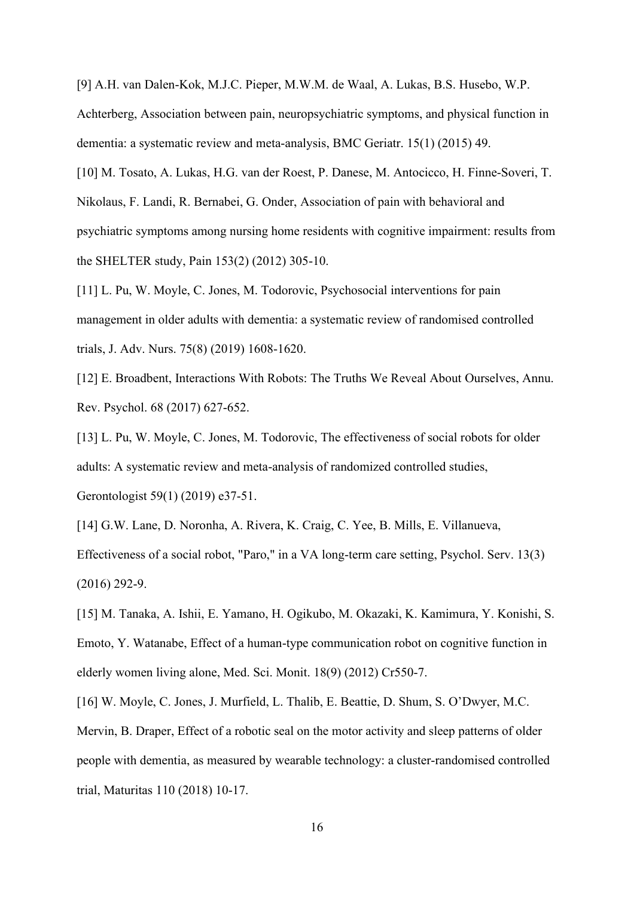[9] A.H. van Dalen-Kok, M.J.C. Pieper, M.W.M. de Waal, A. Lukas, B.S. Husebo, W.P. Achterberg, Association between pain, neuropsychiatric symptoms, and physical function in dementia: a systematic review and meta-analysis, BMC Geriatr. 15(1) (2015) 49.

[10] M. Tosato, A. Lukas, H.G. van der Roest, P. Danese, M. Antocicco, H. Finne-Soveri, T. Nikolaus, F. Landi, R. Bernabei, G. Onder, Association of pain with behavioral and psychiatric symptoms among nursing home residents with cognitive impairment: results from the SHELTER study, Pain 153(2) (2012) 305-10.

[11] L. Pu, W. Moyle, C. Jones, M. Todorovic, Psychosocial interventions for pain management in older adults with dementia: a systematic review of randomised controlled trials, J. Adv. Nurs. 75(8) (2019) 1608-1620.

[12] E. Broadbent, Interactions With Robots: The Truths We Reveal About Ourselves, Annu. Rev. Psychol. 68 (2017) 627-652.

[13] L. Pu, W. Moyle, C. Jones, M. Todorovic, The effectiveness of social robots for older adults: A systematic review and meta-analysis of randomized controlled studies, Gerontologist 59(1) (2019) e37-51.

[14] G.W. Lane, D. Noronha, A. Rivera, K. Craig, C. Yee, B. Mills, E. Villanueva, Effectiveness of a social robot, "Paro," in a VA long-term care setting, Psychol. Serv. 13(3) (2016) 292-9.

[15] M. Tanaka, A. Ishii, E. Yamano, H. Ogikubo, M. Okazaki, K. Kamimura, Y. Konishi, S. Emoto, Y. Watanabe, Effect of a human-type communication robot on cognitive function in elderly women living alone, Med. Sci. Monit. 18(9) (2012) Cr550-7.

[16] W. Moyle, C. Jones, J. Murfield, L. Thalib, E. Beattie, D. Shum, S. O'Dwyer, M.C. Mervin, B. Draper, Effect of a robotic seal on the motor activity and sleep patterns of older people with dementia, as measured by wearable technology: a cluster-randomised controlled trial, Maturitas 110 (2018) 10-17.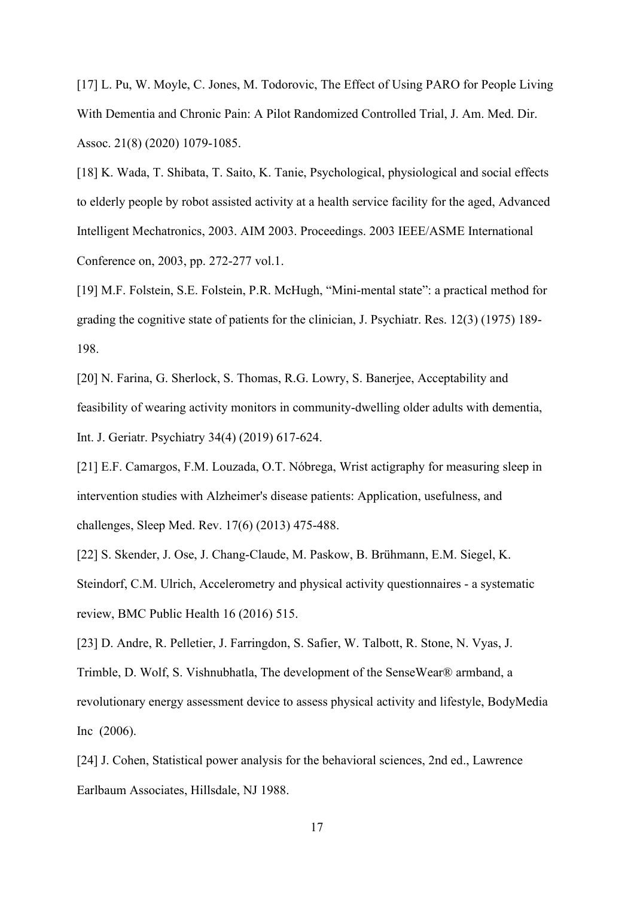[17] L. Pu, W. Moyle, C. Jones, M. Todorovic, The Effect of Using PARO for People Living With Dementia and Chronic Pain: A Pilot Randomized Controlled Trial, J. Am. Med. Dir. Assoc. 21(8) (2020) 1079-1085.

[18] K. Wada, T. Shibata, T. Saito, K. Tanie, Psychological, physiological and social effects to elderly people by robot assisted activity at a health service facility for the aged, Advanced Intelligent Mechatronics, 2003. AIM 2003. Proceedings. 2003 IEEE/ASME International Conference on, 2003, pp. 272-277 vol.1.

[19] M.F. Folstein, S.E. Folstein, P.R. McHugh, "Mini-mental state": a practical method for grading the cognitive state of patients for the clinician, J. Psychiatr. Res. 12(3) (1975) 189- 198.

[20] N. Farina, G. Sherlock, S. Thomas, R.G. Lowry, S. Banerjee, Acceptability and feasibility of wearing activity monitors in community-dwelling older adults with dementia, Int. J. Geriatr. Psychiatry 34(4) (2019) 617-624.

[21] E.F. Camargos, F.M. Louzada, O.T. Nóbrega, Wrist actigraphy for measuring sleep in intervention studies with Alzheimer's disease patients: Application, usefulness, and challenges, Sleep Med. Rev. 17(6) (2013) 475-488.

[22] S. Skender, J. Ose, J. Chang-Claude, M. Paskow, B. Brühmann, E.M. Siegel, K. Steindorf, C.M. Ulrich, Accelerometry and physical activity questionnaires - a systematic review, BMC Public Health 16 (2016) 515.

[23] D. Andre, R. Pelletier, J. Farringdon, S. Safier, W. Talbott, R. Stone, N. Vyas, J. Trimble, D. Wolf, S. Vishnubhatla, The development of the SenseWear® armband, a revolutionary energy assessment device to assess physical activity and lifestyle, BodyMedia Inc (2006).

[24] J. Cohen, Statistical power analysis for the behavioral sciences, 2nd ed., Lawrence Earlbaum Associates, Hillsdale, NJ 1988.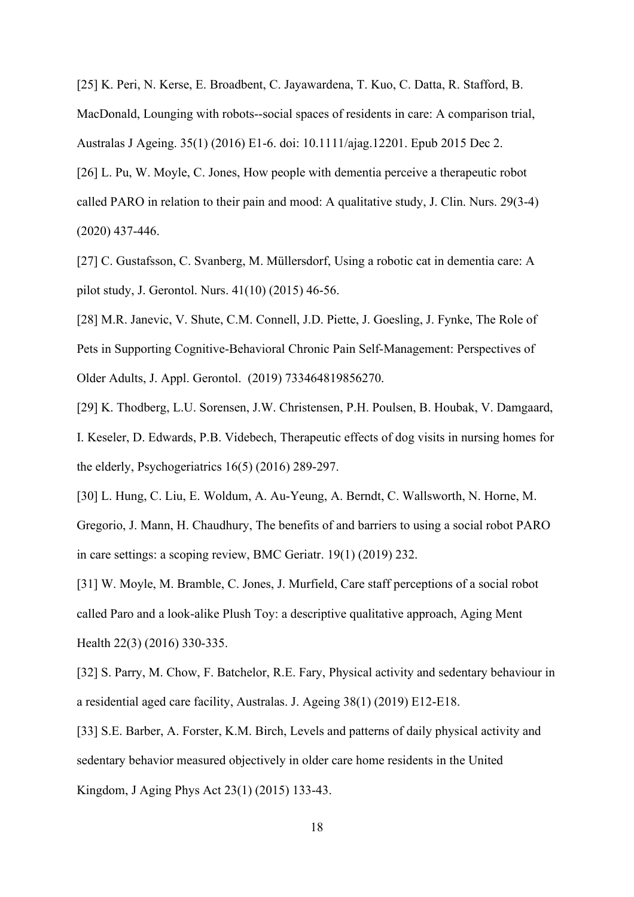[25] K. Peri, N. Kerse, E. Broadbent, C. Jayawardena, T. Kuo, C. Datta, R. Stafford, B. MacDonald, Lounging with robots--social spaces of residents in care: A comparison trial, Australas J Ageing. 35(1) (2016) E1-6. doi: 10.1111/ajag.12201. Epub 2015 Dec 2.

[26] L. Pu, W. Moyle, C. Jones, How people with dementia perceive a therapeutic robot called PARO in relation to their pain and mood: A qualitative study, J. Clin. Nurs. 29(3-4) (2020) 437-446.

[27] C. Gustafsson, C. Svanberg, M. Müllersdorf, Using a robotic cat in dementia care: A pilot study, J. Gerontol. Nurs. 41(10) (2015) 46-56.

[28] M.R. Janevic, V. Shute, C.M. Connell, J.D. Piette, J. Goesling, J. Fynke, The Role of Pets in Supporting Cognitive-Behavioral Chronic Pain Self-Management: Perspectives of Older Adults, J. Appl. Gerontol. (2019) 733464819856270.

[29] K. Thodberg, L.U. Sorensen, J.W. Christensen, P.H. Poulsen, B. Houbak, V. Damgaard, I. Keseler, D. Edwards, P.B. Videbech, Therapeutic effects of dog visits in nursing homes for the elderly, Psychogeriatrics 16(5) (2016) 289-297.

[30] L. Hung, C. Liu, E. Woldum, A. Au-Yeung, A. Berndt, C. Wallsworth, N. Horne, M. Gregorio, J. Mann, H. Chaudhury, The benefits of and barriers to using a social robot PARO in care settings: a scoping review, BMC Geriatr. 19(1) (2019) 232.

[31] W. Moyle, M. Bramble, C. Jones, J. Murfield, Care staff perceptions of a social robot called Paro and a look-alike Plush Toy: a descriptive qualitative approach, Aging Ment Health 22(3) (2016) 330-335.

[32] S. Parry, M. Chow, F. Batchelor, R.E. Fary, Physical activity and sedentary behaviour in a residential aged care facility, Australas. J. Ageing 38(1) (2019) E12-E18.

[33] S.E. Barber, A. Forster, K.M. Birch, Levels and patterns of daily physical activity and sedentary behavior measured objectively in older care home residents in the United Kingdom, J Aging Phys Act 23(1) (2015) 133-43.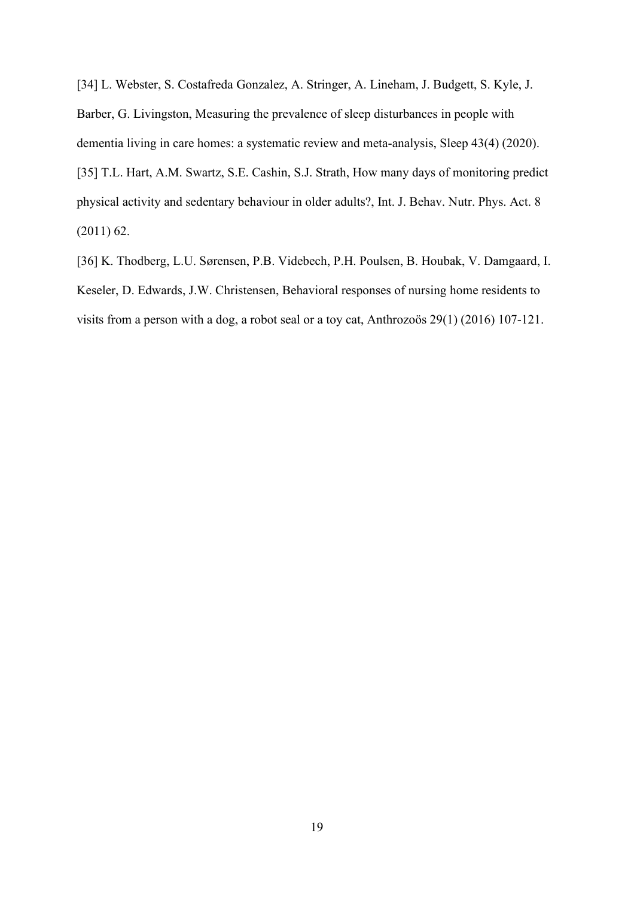[34] L. Webster, S. Costafreda Gonzalez, A. Stringer, A. Lineham, J. Budgett, S. Kyle, J. Barber, G. Livingston, Measuring the prevalence of sleep disturbances in people with dementia living in care homes: a systematic review and meta-analysis, Sleep 43(4) (2020). [35] T.L. Hart, A.M. Swartz, S.E. Cashin, S.J. Strath, How many days of monitoring predict physical activity and sedentary behaviour in older adults?, Int. J. Behav. Nutr. Phys. Act. 8 (2011) 62.

[36] K. Thodberg, L.U. Sørensen, P.B. Videbech, P.H. Poulsen, B. Houbak, V. Damgaard, I. Keseler, D. Edwards, J.W. Christensen, Behavioral responses of nursing home residents to visits from a person with a dog, a robot seal or a toy cat, Anthrozoös 29(1) (2016) 107-121.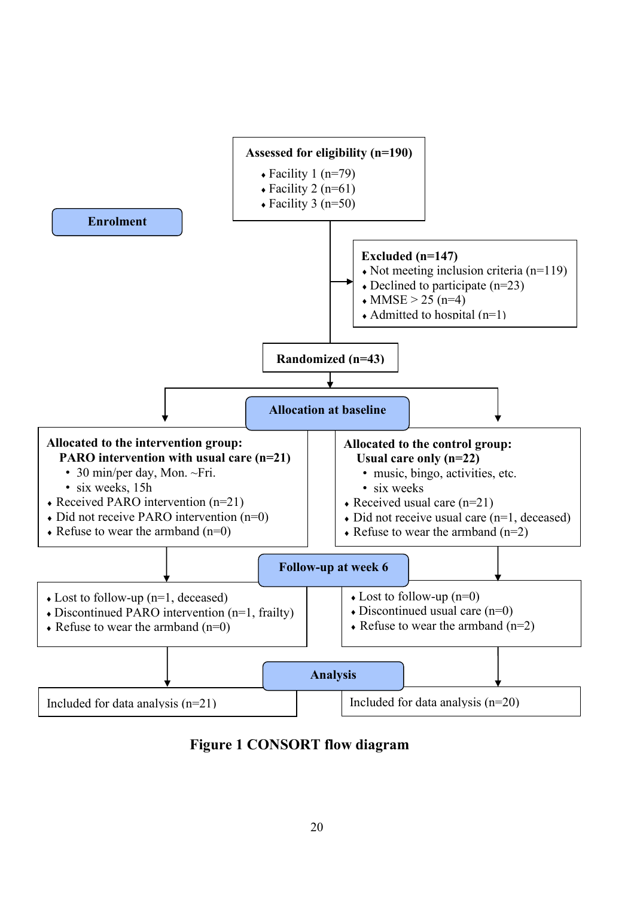

**Figure 1 CONSORT flow diagram**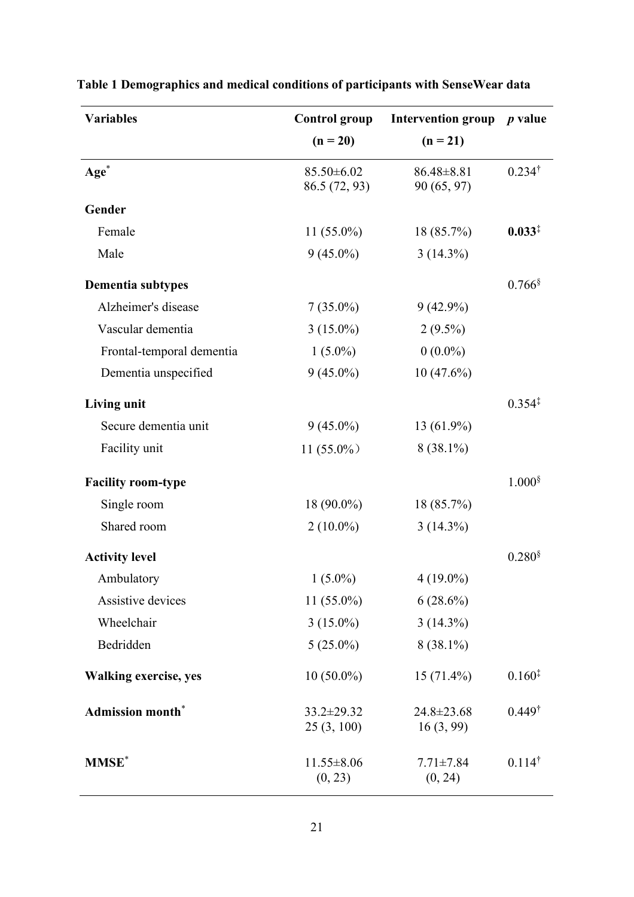| <b>Variables</b>             | <b>Control group</b>              | Intervention group $p$ value    |                      |
|------------------------------|-----------------------------------|---------------------------------|----------------------|
|                              | $(n = 20)$                        | $(n = 21)$                      |                      |
| Age <sup>*</sup>             | $85.50 \pm 6.02$<br>86.5 (72, 93) | $86.48 \pm 8.81$<br>90 (65, 97) | $0.234^{\dagger}$    |
| Gender                       |                                   |                                 |                      |
| Female                       | $11(55.0\%)$                      | 18 (85.7%)                      | $0.033^{\ddagger}$   |
| Male                         | $9(45.0\%)$                       | $3(14.3\%)$                     |                      |
| Dementia subtypes            |                                   |                                 | $0.766$ <sup>§</sup> |
| Alzheimer's disease          | $7(35.0\%)$                       | $9(42.9\%)$                     |                      |
| Vascular dementia            | $3(15.0\%)$                       | $2(9.5\%)$                      |                      |
| Frontal-temporal dementia    | $1(5.0\%)$                        | $0(0.0\%)$                      |                      |
| Dementia unspecified         | $9(45.0\%)$                       | $10(47.6\%)$                    |                      |
| <b>Living unit</b>           |                                   |                                 | $0.354^{\ddagger}$   |
| Secure dementia unit         | $9(45.0\%)$                       | 13 (61.9%)                      |                      |
| Facility unit                | $11(55.0\%)$                      | $8(38.1\%)$                     |                      |
| <b>Facility room-type</b>    |                                   |                                 | $1.000$ §            |
| Single room                  | 18 (90.0%)                        | 18 (85.7%)                      |                      |
| Shared room                  | $2(10.0\%)$                       | $3(14.3\%)$                     |                      |
| <b>Activity level</b>        |                                   |                                 | 0.280 <sup>§</sup>   |
| Ambulatory                   | $1(5.0\%)$                        | $4(19.0\%)$                     |                      |
| Assistive devices            | $11(55.0\%)$                      | $6(28.6\%)$                     |                      |
| Wheelchair                   | $3(15.0\%)$                       | $3(14.3\%)$                     |                      |
| Bedridden                    | $5(25.0\%)$                       | $8(38.1\%)$                     |                      |
| <b>Walking exercise, yes</b> | $10(50.0\%)$                      | $15(71.4\%)$                    | $0.160^{\ddagger}$   |
| <b>Admission month*</b>      | $33.2 \pm 29.32$<br>25(3, 100)    | 24.8±23.68<br>16(3, 99)         | $0.449^{\dagger}$    |
| <b>MMSE</b> *                | $11.55 \pm 8.06$<br>(0, 23)       | $7.71 \pm 7.84$<br>(0, 24)      | $0.114^{\dagger}$    |

# **Table 1 Demographics and medical conditions of participants with SenseWear data**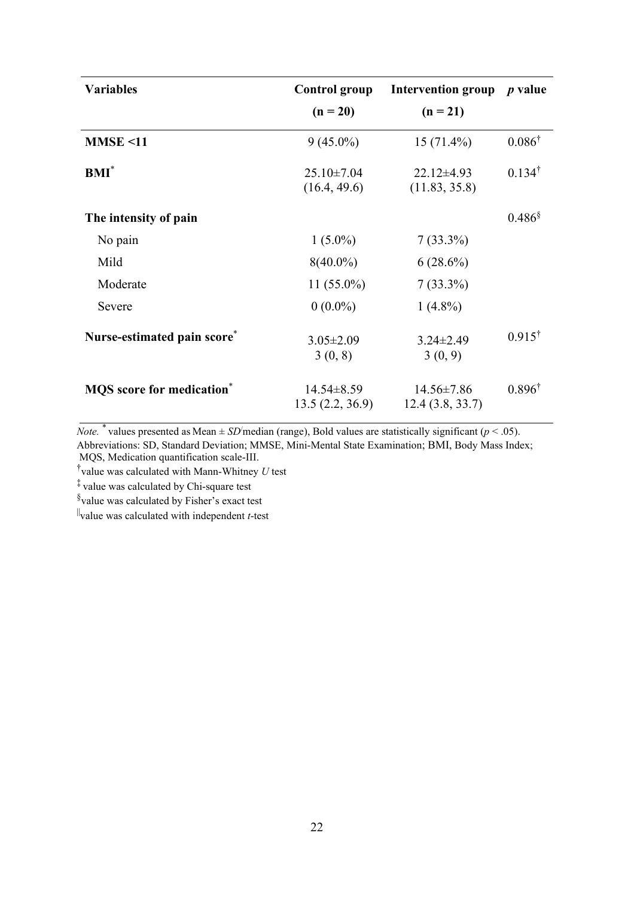| <b>Variables</b>                             | <b>Control group</b>              | Intervention group $p$ value        |                      |  |
|----------------------------------------------|-----------------------------------|-------------------------------------|----------------------|--|
|                                              | $(n = 20)$                        | $(n = 21)$                          |                      |  |
| MMSE < 11                                    | $9(45.0\%)$                       | $15(71.4\%)$                        | $0.086^{\dagger}$    |  |
| $BMI^*$                                      | $25.10 \pm 7.04$<br>(16.4, 49.6)  | $22.12 \pm 4.93$<br>(11.83, 35.8)   | $0.134^{\dagger}$    |  |
| The intensity of pain                        |                                   |                                     | $0.486$ <sup>§</sup> |  |
| No pain                                      | $1(5.0\%)$                        | $7(33.3\%)$                         |                      |  |
| Mild                                         | $8(40.0\%)$                       | $6(28.6\%)$                         |                      |  |
| Moderate                                     | 11 $(55.0\%)$                     | $7(33.3\%)$                         |                      |  |
| Severe                                       | $0(0.0\%)$                        | $1(4.8\%)$                          |                      |  |
| Nurse-estimated pain score*                  | $3.05 \pm 2.09$<br>3(0, 8)        | $3.24 \pm 2.49$<br>3(0, 9)          | $0.915^{\dagger}$    |  |
| <b>MQS</b> score for medication <sup>*</sup> | $14.54\pm8.59$<br>13.5(2.2, 36.9) | $14.56 \pm 7.86$<br>12.4(3.8, 33.7) | $0.896^{\dagger}$    |  |

*Note.*  $*$  values presented as Mean  $\pm$  *SD*/median (range), Bold values are statistically significant (*p* < .05). Abbreviations: SD, Standard Deviation; MMSE, Mini-Mental State Examination; BMI, Body Mass Index; MQS, Medication quantification scale-III.

† value was calculated with Mann-Whitney *U* test

‡ value was calculated by Chi-square test

§ value was calculated by Fisher's exact test

||value was calculated with independent *t*-test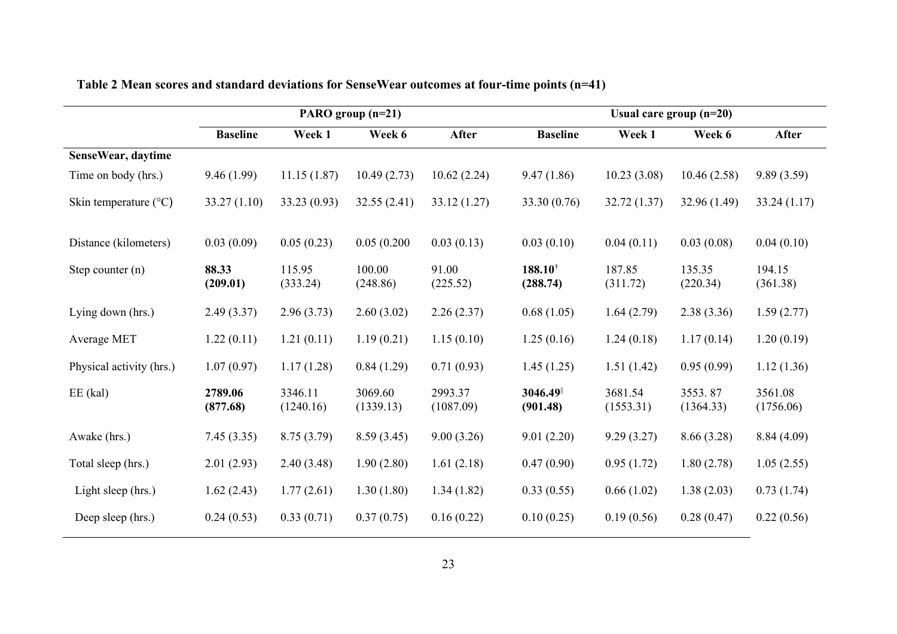|                                | PARO group $(n=21)$ |                      |                      |                      | Usual care group $(n=20)$      |                      |                      |                      |  |
|--------------------------------|---------------------|----------------------|----------------------|----------------------|--------------------------------|----------------------|----------------------|----------------------|--|
|                                | <b>Baseline</b>     | Week 1               | Week 6               | After                | <b>Baseline</b>                | Week 1               | Week 6               | After                |  |
| SenseWear, daytime             |                     |                      |                      |                      |                                |                      |                      |                      |  |
| Time on body (hrs.)            | 9.46(1.99)          | 11.15(1.87)          | 10.49(2.73)          | 10.62(2.24)          | 9.47(1.86)                     | 10.23(3.08)          | 10.46(2.58)          | 9.89(3.59)           |  |
| Skin temperature $(^{\circ}C)$ | 33.27(1.10)         | 33.23(0.93)          | 32.55(2.41)          | 33.12(1.27)          | 33.30(0.76)                    | 32.72(1.37)          | 32.96 (1.49)         | 33.24(1.17)          |  |
| Distance (kilometers)          | 0.03(0.09)          | 0.05(0.23)           | 0.05(0.200)          | 0.03(0.13)           | 0.03(0.10)                     | 0.04(0.11)           | 0.03(0.08)           | 0.04(0.10)           |  |
| Step counter $(n)$             | 88.33<br>(209.01)   | 115.95<br>(333.24)   | 100.00<br>(248.86)   | 91.00<br>(225.52)    | $188.10^{\dagger}$<br>(288.74) | 187.85<br>(311.72)   | 135.35<br>(220.34)   | 194.15<br>(361.38)   |  |
| Lying down (hrs.)              | 2.49(3.37)          | 2.96(3.73)           | 2.60(3.02)           | 2.26(2.37)           | 0.68(1.05)                     | 1.64(2.79)           | 2.38(3.36)           | 1.59(2.77)           |  |
| Average MET                    | 1.22(0.11)          | 1.21(0.11)           | 1.19(0.21)           | 1.15(0.10)           | 1.25(0.16)                     | 1.24(0.18)           | 1.17(0.14)           | 1.20(0.19)           |  |
| Physical activity (hrs.)       | 1.07(0.97)          | 1.17(1.28)           | 0.84(1.29)           | 0.71(0.93)           | 1.45(1.25)                     | 1.51(1.42)           | 0.95(0.99)           | 1.12(1.36)           |  |
| $EE$ (kal)                     | 2789.06<br>(877.68) | 3346.11<br>(1240.16) | 3069.60<br>(1339.13) | 2993.37<br>(1087.09) | 3046.49<br>(901.48)            | 3681.54<br>(1553.31) | 3553.87<br>(1364.33) | 3561.08<br>(1756.06) |  |
| Awake (hrs.)                   | 7.45(3.35)          | 8.75(3.79)           | 8.59(3.45)           | 9.00(3.26)           | 9.01(2.20)                     | 9.29(3.27)           | 8.66(3.28)           | 8.84(4.09)           |  |
| Total sleep (hrs.)             | 2.01(2.93)          | 2.40(3.48)           | 1.90(2.80)           | 1.61(2.18)           | 0.47(0.90)                     | 0.95(1.72)           | 1.80(2.78)           | 1.05(2.55)           |  |
| Light sleep (hrs.)             | 1.62(2.43)          | 1.77(2.61)           | 1.30(1.80)           | 1.34(1.82)           | 0.33(0.55)                     | 0.66(1.02)           | 1.38(2.03)           | 0.73(1.74)           |  |
| Deep sleep (hrs.)              | 0.24(0.53)          | 0.33(0.71)           | 0.37(0.75)           | 0.16(0.22)           | 0.10(0.25)                     | 0.19(0.56)           | 0.28(0.47)           | 0.22(0.56)           |  |

## **Table 2 Mean scores and standard deviations for SenseWear outcomes at four-time points (n=41)**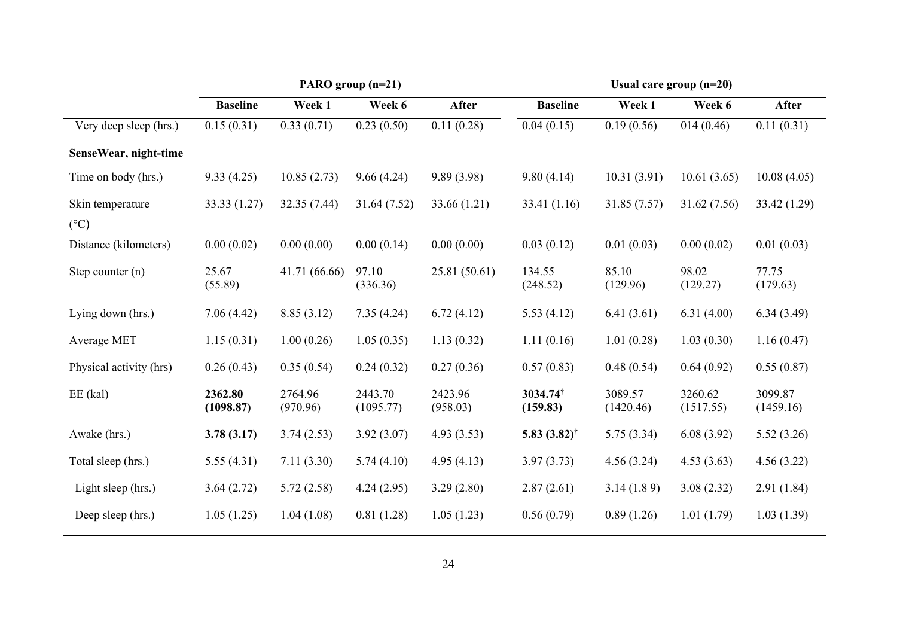|                                   |                      |                     | PARO group (n=21)    |                     | Usual care group $(n=20)$  |                      |                      |                      |  |  |
|-----------------------------------|----------------------|---------------------|----------------------|---------------------|----------------------------|----------------------|----------------------|----------------------|--|--|
|                                   | <b>Baseline</b>      | Week 1              | Week 6               | After               | <b>Baseline</b>            | Week 1               | Week 6               | After                |  |  |
| Very deep sleep (hrs.)            | 0.15(0.31)           | 0.33(0.71)          | 0.23(0.50)           | 0.11(0.28)          | 0.04(0.15)                 | 0.19(0.56)           | 014(0.46)            | 0.11(0.31)           |  |  |
| SenseWear, night-time             |                      |                     |                      |                     |                            |                      |                      |                      |  |  |
| Time on body (hrs.)               | 9.33(4.25)           | 10.85(2.73)         | 9.66(4.24)           | 9.89(3.98)          | 9.80(4.14)                 | 10.31(3.91)          | 10.61(3.65)          | 10.08(4.05)          |  |  |
| Skin temperature<br>$(^{\circ}C)$ | 33.33 (1.27)         | 32.35 (7.44)        | 31.64(7.52)          | 33.66 (1.21)        | 33.41 (1.16)               | 31.85 (7.57)         | 31.62 (7.56)         | 33.42 (1.29)         |  |  |
| Distance (kilometers)             | 0.00(0.02)           | 0.00(0.00)          | 0.00(0.14)           | 0.00(0.00)          | 0.03(0.12)                 | 0.01(0.03)           | 0.00(0.02)           | 0.01(0.03)           |  |  |
| Step counter $(n)$                | 25.67<br>(55.89)     | 41.71 (66.66)       | 97.10<br>(336.36)    | 25.81 (50.61)       | 134.55<br>(248.52)         | 85.10<br>(129.96)    | 98.02<br>(129.27)    | 77.75<br>(179.63)    |  |  |
| Lying down (hrs.)                 | 7.06(4.42)           | 8.85(3.12)          | 7.35(4.24)           | 6.72(4.12)          | 5.53(4.12)                 | 6.41(3.61)           | 6.31(4.00)           | 6.34(3.49)           |  |  |
| Average MET                       | 1.15(0.31)           | 1.00(0.26)          | 1.05(0.35)           | 1.13(0.32)          | 1.11(0.16)                 | 1.01(0.28)           | 1.03(0.30)           | 1.16(0.47)           |  |  |
| Physical activity (hrs)           | 0.26(0.43)           | 0.35(0.54)          | 0.24(0.32)           | 0.27(0.36)          | 0.57(0.83)                 | 0.48(0.54)           | 0.64(0.92)           | 0.55(0.87)           |  |  |
| $EE$ (kal)                        | 2362.80<br>(1098.87) | 2764.96<br>(970.96) | 2443.70<br>(1095.77) | 2423.96<br>(958.03) | 3034.74<br>(159.83)        | 3089.57<br>(1420.46) | 3260.62<br>(1517.55) | 3099.87<br>(1459.16) |  |  |
| Awake (hrs.)                      | 3.78(3.17)           | 3.74(2.53)          | 3.92(3.07)           | 4.93(3.53)          | 5.83 $(3.82)$ <sup>†</sup> | 5.75(3.34)           | 6.08(3.92)           | 5.52(3.26)           |  |  |
| Total sleep (hrs.)                | 5.55(4.31)           | 7.11(3.30)          | 5.74(4.10)           | 4.95(4.13)          | 3.97(3.73)                 | 4.56(3.24)           | 4.53(3.63)           | 4.56(3.22)           |  |  |
| Light sleep (hrs.)                | 3.64(2.72)           | 5.72(2.58)          | 4.24(2.95)           | 3.29(2.80)          | 2.87(2.61)                 | 3.14(1.89)           | 3.08(2.32)           | 2.91(1.84)           |  |  |
| Deep sleep (hrs.)                 | 1.05(1.25)           | 1.04(1.08)          | 0.81(1.28)           | 1.05(1.23)          | 0.56(0.79)                 | 0.89(1.26)           | 1.01(1.79)           | 1.03(1.39)           |  |  |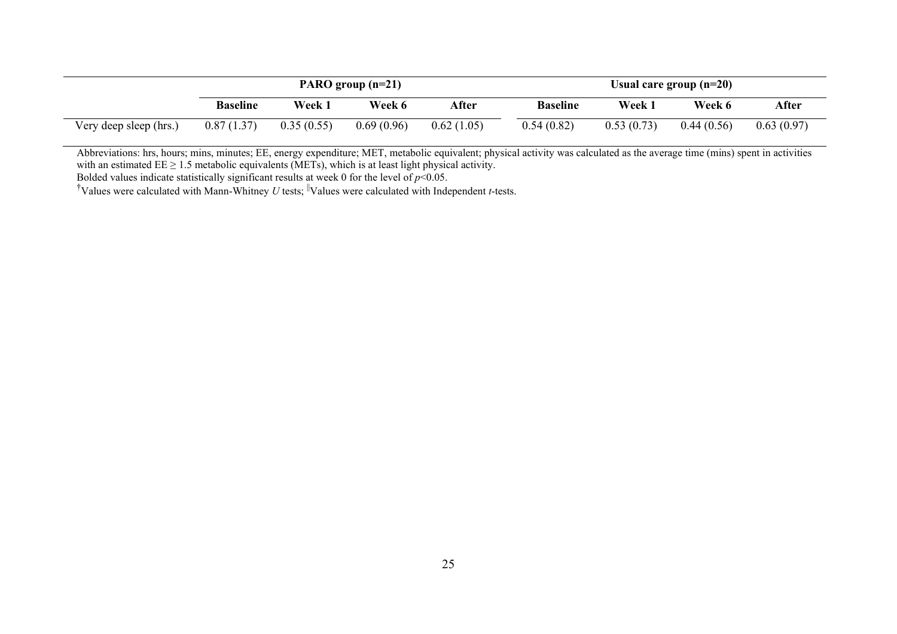|                        | PARO group $(n=21)$ |            |            |            | Usual care group $(n=20)$ |            |            |            |
|------------------------|---------------------|------------|------------|------------|---------------------------|------------|------------|------------|
|                        | <b>Baseline</b>     | Week 1     | Week 6     | After      | <b>Baseline</b>           | Week 1     | Week 6     | After      |
| Very deep sleep (hrs.) | 0.87(1.37)          | 0.35(0.55) | 0.69(0.96) | 0.62(1.05) | 0.54(0.82)                | 0.53(0.73) | 0.44(0.56) | 0.63(0.97) |

Abbreviations: hrs, hours; mins, minutes; EE, energy expenditure; MET, metabolic equivalent; physical activity was calculated as the average time (mins) spent in activities with an estimated  $EE \geq 1.5$  metabolic equivalents (METs), which is at least light physical activity.

Bolded values indicate statistically significant results at week 0 for the level of *p*<0.05.

<sup>†</sup>Values were calculated with Mann-Whitney *U* tests; <sup>||</sup>Values were calculated with Independent *t*-tests.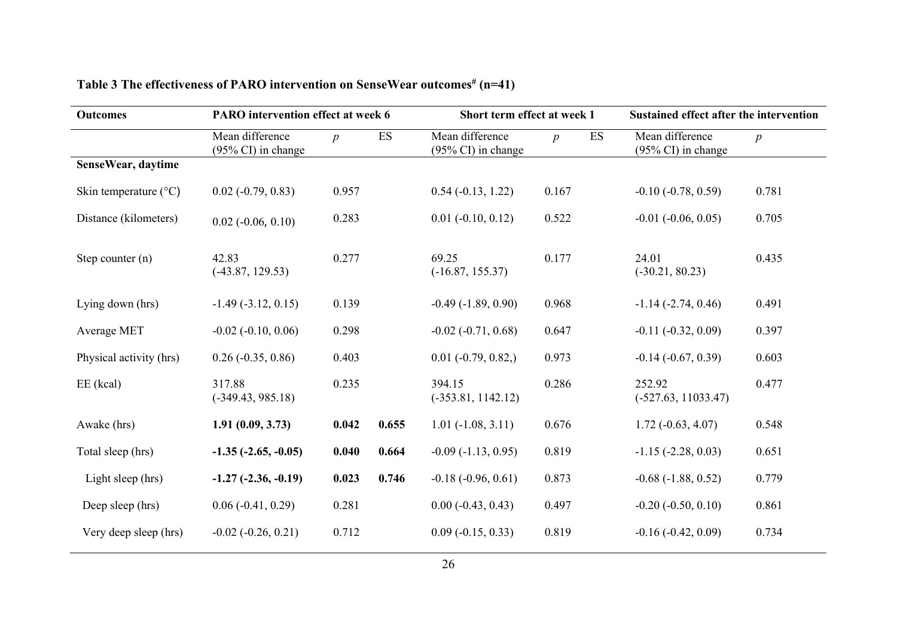| <b>Outcomes</b>                | PARO intervention effect at week 6               |                  |                          | Short term effect at week 1                      |                  |    | Sustained effect after the intervention          |                  |  |
|--------------------------------|--------------------------------------------------|------------------|--------------------------|--------------------------------------------------|------------------|----|--------------------------------------------------|------------------|--|
|                                | Mean difference<br>$(95\% \text{ CI})$ in change | $\boldsymbol{p}$ | $\mathop{\hbox{\rm ES}}$ | Mean difference<br>$(95\% \text{ CI})$ in change | $\boldsymbol{p}$ | ES | Mean difference<br>$(95\% \text{ CI})$ in change | $\boldsymbol{p}$ |  |
| SenseWear, daytime             |                                                  |                  |                          |                                                  |                  |    |                                                  |                  |  |
| Skin temperature $(^{\circ}C)$ | $0.02$ ( $-0.79$ , $0.83$ )                      | 0.957            |                          | $0.54(-0.13, 1.22)$                              | 0.167            |    | $-0.10(-0.78, 0.59)$                             | 0.781            |  |
| Distance (kilometers)          | $0.02$ ( $-0.06$ , $0.10$ )                      | 0.283            |                          | $0.01$ ( $-0.10$ , $0.12$ )                      | 0.522            |    | $-0.01$ $(-0.06, 0.05)$                          | 0.705            |  |
| Step counter $(n)$             | 42.83<br>$(-43.87, 129.53)$                      | 0.277            |                          | 69.25<br>$(-16.87, 155.37)$                      | 0.177            |    | 24.01<br>$(-30.21, 80.23)$                       | 0.435            |  |
| Lying down (hrs)               | $-1.49(-3.12, 0.15)$                             | 0.139            |                          | $-0.49(-1.89, 0.90)$                             | 0.968            |    | $-1.14$ $(-2.74, 0.46)$                          | 0.491            |  |
| Average MET                    | $-0.02$ $(-0.10, 0.06)$                          | 0.298            |                          | $-0.02$ $(-0.71, 0.68)$                          | 0.647            |    | $-0.11 (-0.32, 0.09)$                            | 0.397            |  |
| Physical activity (hrs)        | $0.26$ ( $-0.35$ , $0.86$ )                      | 0.403            |                          | $0.01 (-0.79, 0.82)$                             | 0.973            |    | $-0.14$ $(-0.67, 0.39)$                          | 0.603            |  |
| $EE$ (kcal)                    | 317.88<br>$(-349.43, 985.18)$                    | 0.235            |                          | 394.15<br>$(-353.81, 1142.12)$                   | 0.286            |    | 252.92<br>$(-527.63, 11033.47)$                  | 0.477            |  |
| Awake (hrs)                    | 1.91(0.09, 3.73)                                 | 0.042            | 0.655                    | $1.01 (-1.08, 3.11)$                             | 0.676            |    | $1.72(-0.63, 4.07)$                              | 0.548            |  |
| Total sleep (hrs)              | $-1.35$ $(-2.65, -0.05)$                         | 0.040            | 0.664                    | $-0.09(-1.13, 0.95)$                             | 0.819            |    | $-1.15$ $(-2.28, 0.03)$                          | 0.651            |  |
| Light sleep (hrs)              | $-1.27$ $(-2.36, -0.19)$                         | 0.023            | 0.746                    | $-0.18(-0.96, 0.61)$                             | 0.873            |    | $-0.68(-1.88, 0.52)$                             | 0.779            |  |
| Deep sleep (hrs)               | $0.06$ (-0.41, 0.29)                             | 0.281            |                          | $0.00 (-0.43, 0.43)$                             | 0.497            |    | $-0.20$ $(-0.50, 0.10)$                          | 0.861            |  |
| Very deep sleep (hrs)          | $-0.02$ $(-0.26, 0.21)$                          | 0.712            |                          | $0.09(-0.15, 0.33)$                              | 0.819            |    | $-0.16(-0.42, 0.09)$                             | 0.734            |  |

# **Table 3 The effectiveness of PARO intervention on SenseWear outcomes# (n=41)**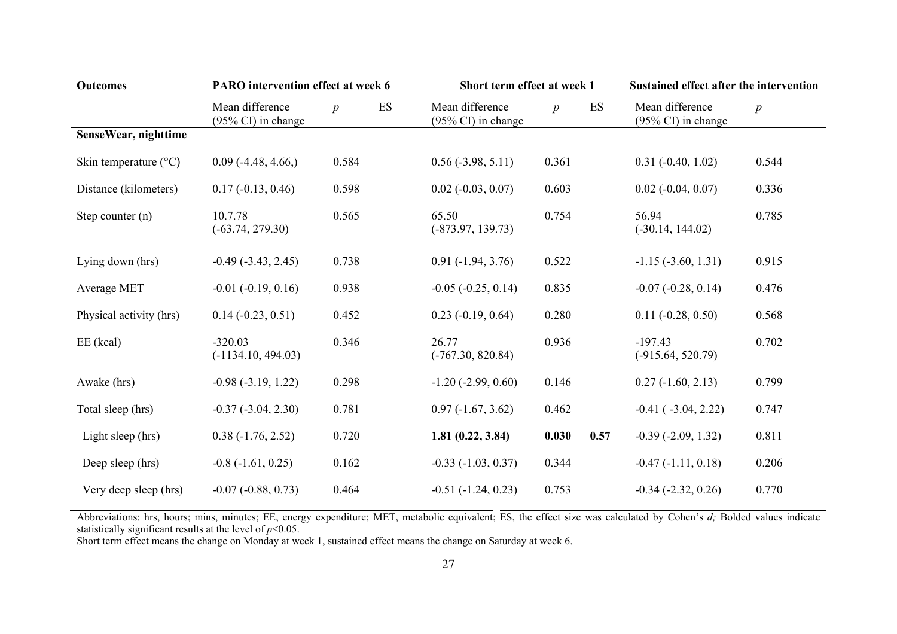| <b>Outcomes</b>         | <b>PARO</b> intervention effect at week 6 |                        | Short term effect at week 1                      |                 |      | <b>Sustained effect after the intervention</b> |                  |
|-------------------------|-------------------------------------------|------------------------|--------------------------------------------------|-----------------|------|------------------------------------------------|------------------|
|                         | Mean difference<br>(95% CI) in change     | ES<br>$\boldsymbol{p}$ | Mean difference<br>$(95\% \text{ CI})$ in change | $p_{\parallel}$ | ES   | Mean difference<br>(95% CI) in change          | $\boldsymbol{p}$ |
| SenseWear, nighttime    |                                           |                        |                                                  |                 |      |                                                |                  |
| Skin temperature (°C)   | $0.09$ (-4.48, 4.66,)                     | 0.584                  | $0.56$ ( $-3.98$ , $5.11$ )                      | 0.361           |      | $0.31 (-0.40, 1.02)$                           | 0.544            |
| Distance (kilometers)   | $0.17(-0.13, 0.46)$                       | 0.598                  | $0.02$ ( $-0.03$ , $0.07$ )                      | 0.603           |      | $0.02$ ( $-0.04$ , $0.07$ )                    | 0.336            |
| Step counter $(n)$      | 10.7.78<br>$(-63.74, 279.30)$             | 0.565                  | 65.50<br>$(-873.97, 139.73)$                     | 0.754           |      | 56.94<br>$(-30.14, 144.02)$                    | 0.785            |
| Lying down (hrs)        | $-0.49(-3.43, 2.45)$                      | 0.738                  | $0.91 (-1.94, 3.76)$                             | 0.522           |      | $-1.15$ $(-3.60, 1.31)$                        | 0.915            |
| Average MET             | $-0.01$ $(-0.19, 0.16)$                   | 0.938                  | $-0.05$ $(-0.25, 0.14)$                          | 0.835           |      | $-0.07$ $(-0.28, 0.14)$                        | 0.476            |
| Physical activity (hrs) | $0.14 (-0.23, 0.51)$                      | 0.452                  | $0.23$ ( $-0.19$ , $0.64$ )                      | 0.280           |      | $0.11 (-0.28, 0.50)$                           | 0.568            |
| $EE$ (kcal)             | $-320.03$<br>$(-1134.10, 494.03)$         | 0.346                  | 26.77<br>$(-767.30, 820.84)$                     | 0.936           |      | $-197.43$<br>$(-915.64, 520.79)$               | 0.702            |
| Awake (hrs)             | $-0.98(-3.19, 1.22)$                      | 0.298                  | $-1.20$ $(-2.99, 0.60)$                          | 0.146           |      | $0.27(-1.60, 2.13)$                            | 0.799            |
| Total sleep (hrs)       | $-0.37$ $(-3.04, 2.30)$                   | 0.781                  | $0.97(-1.67, 3.62)$                              | 0.462           |      | $-0.41$ ( $-3.04$ , 2.22)                      | 0.747            |
| Light sleep (hrs)       | $0.38(-1.76, 2.52)$                       | 0.720                  | 1.81(0.22, 3.84)                                 | 0.030           | 0.57 | $-0.39$ $(-2.09, 1.32)$                        | 0.811            |
| Deep sleep (hrs)        | $-0.8$ $(-1.61, 0.25)$                    | 0.162                  | $-0.33(-1.03, 0.37)$                             | 0.344           |      | $-0.47(-1.11, 0.18)$                           | 0.206            |
| Very deep sleep (hrs)   | $-0.07 (-0.88, 0.73)$                     | 0.464                  | $-0.51(-1.24, 0.23)$                             | 0.753           |      | $-0.34$ $(-2.32, 0.26)$                        | 0.770            |

Abbreviations: hrs, hours; mins, minutes; EE, energy expenditure; MET, metabolic equivalent; ES, the effect size was calculated by Cohen's *d;* Bolded values indicate statistically significant results at the level of *p*<0.05.

Short term effect means the change on Monday at week 1, sustained effect means the change on Saturday at week 6.